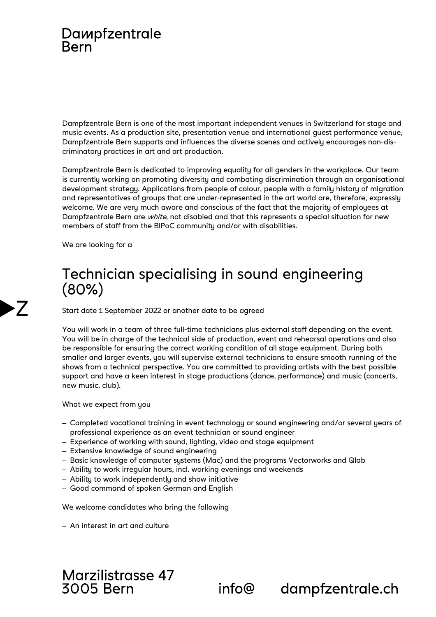## Dampfzentrale **Rern**

Dampfzentrale Bern is one of the most important independent venues in Switzerland for stage and music events. As a production site, presentation venue and international guest performance venue, Dampfzentrale Bern supports and influences the diverse scenes and actively encourages non-discriminatory practices in art and art production.

Dampfzentrale Bern is dedicated to improving equality for all genders in the workplace. Our team is currently working on promoting diversity and combating discrimination through an organisational development strategy. Applications from people of colour, people with a family history of migration and representatives of groups that are under-represented in the art world are, therefore, expressly welcome. We are very much aware and conscious of the fact that the majority of employees at Dampfzentrale Bern are white, not disabled and that this represents a special situation for new members of staff from the BIPoC community and/or with disabilities.

We are looking for a

**>** /

## Technician specialising in sound engineering (80%)

Start date 1 September 2022 or another date to be agreed

You will work in a team of three full-time technicians plus external staff depending on the event. You will be in charge of the technical side of production, event and rehearsal operations and also be responsible for ensuring the correct working condition of all stage equipment. During both smaller and larger events, you will supervise external technicians to ensure smooth running of the shows from a technical perspective. You are committed to providing artists with the best possible support and have a keen interest in stage productions (dance, performance) and music (concerts, new music, club).

What we expect from you

- ‒ Completed vocational training in event technology or sound engineering and/or several years of professional experience as an event technician or sound engineer
- ‒ Experience of working with sound, lighting, video and stage equipment
- Extensive knowledge of sound engineering
- ‒ Basic knowledge of computer systems (Mac) and the programs Vectorworks and Qlab
- ‒ Ability to work irregular hours, incl. working evenings and weekends
- ‒ Ability to work independently and show initiative
- ‒ Good command of spoken German and English

We welcome candidates who bring the following

‒ An interest in art and culture



 $info@$ 

dampfzentrale.ch